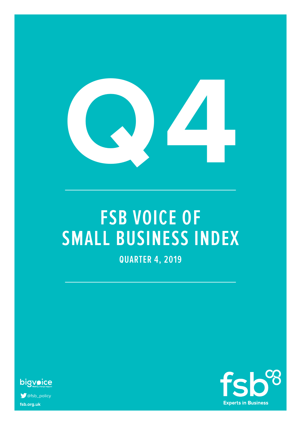

# **FSB VOICE OF SMALL BUSINESS INDEX**

**QUARTER 4, 2019**



**fsb.org.uk S** @fsb\_policy

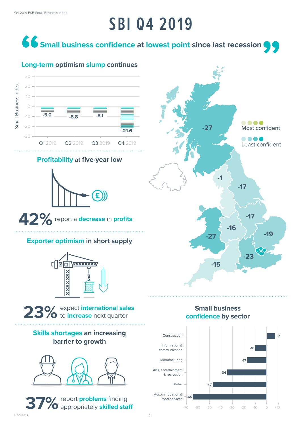# **SBI Q4 2019**

## **SSMALL BUSS CONFIDENCE AT LOWEST POINT SINCE LAST PROPERTY SMALL BUSTS SMALL BUSTS SMALL BUSTS SMALL BUSTS SMALL BUSTS SMALL BUSTS SMALL BUSTS SMALL BUSTS SMALL BUSTS SMALL BUSTS SMALL BUSTS SMALL BUSTS SMALL BUSTS SMALL**



**Long-term optimism slump continues** 

#### **Profitability at five-year low**



**42%**report a **decrease** in **profits**

#### **Exporter optimism in short supply**



#### expect **international sales 23%**to **increase** next quarter

#### **Skills shortages an increasing barrier to growth**







#### **Small business confidence by sector**

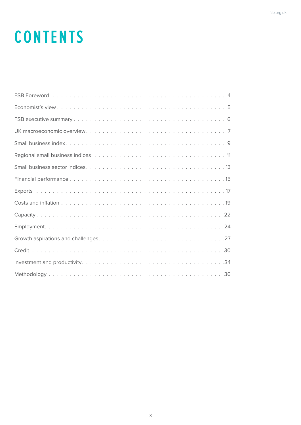# **CONTENTS**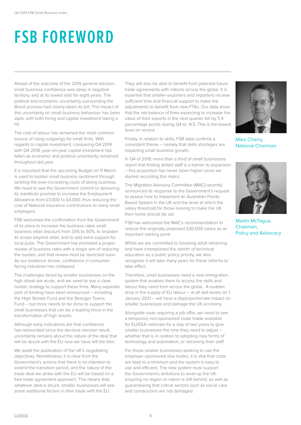# **FSB FOREWORD**

Ahead of the outcome of the 2019 general election, small business confidence was deep in negative territory, and at its lowest ebb for eight years. The political and economic uncertainty surrounding the Brexit process had clearly taken its toll. The impact of this uncertainty on small business behaviour has been stark, with both hiring and capital investment taking a hit.

The cost of labour has remained the most common source of rising outgoings for small firms. With regards to capital investment, comparing Q4 2019 with Q4 2018, year-on-year capital investment has fallen as economic and political uncertainty remained throughout last year.

It is important that the upcoming Budget on 11 March is used to bolster small business sentiment through tackling the ever-increasing costs of doing business. We need to see the Government commit to delivering its manifesto promise to increase the Employment Allowance from £3,000 to £4,000, thus reducing the cost of National Insurance contributions to many small employers.

FSB welcomes the confirmation from the Government of its plans to increase the business rates small business retail discount from 33% to 50%, to broaden its scope beyond retail, and to add extra support for local pubs. The Government has promised a proper review of business rates with a single aim of reducing the burden, and that review must be launched soon. As our evidence shows, confidence in consumerfacing industries has collapsed.

The challenges faced by smaller businesses on the high street are acute, and we need to see a clear, holistic strategy to support these firms. Many separate pots of funding have been announced – including the High Streets Fund and the Stronger Towns Fund – but more needs to be done to support the small businesses that can be a leading force in the transformation of high streets.

Although early indications are that confidence has rebounded since the decisive election result, uncertainty remains about the nature of the deal that will be struck with the EU now we have left the bloc.

We await the publication of the UK's negotiating objectives. Nonetheless, it is clear from the Government's actions that there is no intention to extend the transition period, and the nature of the trade deal we strike with the EU will be based on a free trade agreement approach. This means that, whatever deal is struck, smaller businesses will see some additional friction in their trade with the EU.

They will also be able to benefit from potential future trade agreements with nations across the globe. It is essential that smaller exporters and importers receive sufficient time and financial support to make the adjustments to benefit from new FTAs. Our data show that the net balance of firms expecting to increase the value of their exports in the next quarter fell by 5.4 percentage points during Q4 to -9.5. This is the lowest level on record.

Finally, in relation to skills, FSB data confirms a consistent theme – namely that skills shortages are impacting small business growth.

In Q4 of 2019, more than a third of small businesses report that finding skilled staff is a barrier to expansion – this proportion has never been higher since we started recording this metric.

The Migration Advisory Committee (MAC) recently announced its response to the Government's request to assess how to implement an Australian Points-Based System in the UK and the level at which the salary threshold for those looking to make the UK their home should be set.

FSB has welcomed the MAC's recommendation to reduce the originally proposed £30,000 salary as an important starting point.

Whilst we are committed to boosting adult retraining and have championed the rebirth of technical education as a public policy priority, we also recognise it will take many years for these reforms to take effect.

Therefore, small businesses need a new immigration system that enables them to access the skills and labour they need from across the globe. A sudden drop in the supply of EU labour – at all skill levels on 1 January 2021 – will have a disproportionate impact on smaller businesses and damage the UK economy.

Alongside visas requiring a job offer, we need to see a temporary non-sponsored route made available for EU/EEA nationals for a stay of two years to give smaller businesses the time they need to adjust – whether that is in relation to adopting new forms of technology and automation, or retraining their staff.

For those smaller businesses seeking to use the employer-sponsored visa routes, it is vital that costs are kept to a minimum and the system is easy to use and efficient. The new system must support the Government's ambitions to level-up the UK: ensuring no region or nation is left behind, as well as guaranteeing that critical sectors such as social care and construction are not damaged.



Mike Cherry, National Chairman



Martin McTague, Chairman, Policy and Advocacy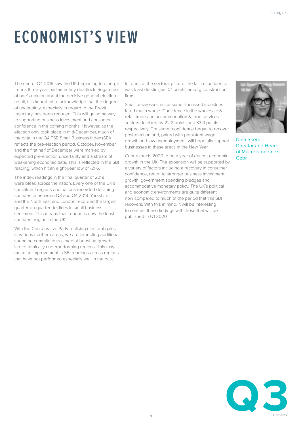# **ECONOMIST'S VIEW**

The end of Q4 2019 saw the UK beginning to emerge from a three-year parliamentary deadlock. Regardless of one's opinion about the decisive general election result, it is important to acknowledge that the degree of uncertainty, especially in regard to the Brexit trajectory, has been reduced. This will go some way to supporting business investment and consumer confidence in the coming months. However, as the election only took place in mid-December, much of the data in the Q4 FSB Small Business Index (SBI) reflects the pre-election period. October, November and the first half of December were marked by expected pre-election uncertainty and a stream of weakening economic data. This is reflected in the SBI reading, which hit an eight-year low of -21.6.

The index readings in the final quarter of 2019 were bleak across the nation. Every one of the UK's constituent regions and nations recorded declining confidence between Q3 and Q4 2019. Yorkshire and the North East and London recorded the largest quarter-on-quarter declines in small business sentiment. This means that London is now the least confident region in the UK.

With the Conservative Party realising electoral gains in various northern areas, we are expecting additional spending commitments aimed at boosting growth in economically underperforming regions. This may mean an improvement in SBI readings across regions that have not performed especially well in the past.

In terms of the sectoral picture, the fall in confidence was least drastic (just 0.1 points) among construction firms.

Small businesses in consumer-focussed industries fared much worse. Confidence in the wholesale & retail trade and accommodation & food services sectors declined by 22.2 points and 33.0 points respectively. Consumer confidence began to recover post-election and, paired with persistent wage growth and low unemployment, will hopefully support businesses in these areas in the New Year.

Cebr expects 2020 to be a year of decent economic growth in the UK. The expansion will be supported by a variety of factors including a recovery in consumer confidence, return to stronger business investment growth, government spending pledges and accommodative monetary policy. The UK's political and economic environments are quite different now compared to much of the period that this SBI recovers. With this in mind, it will be interesting to contrast these findings with those that will be published in Q1 2020.



Nina Skero, Director and Head of Macroeconomics, **Cebr** 

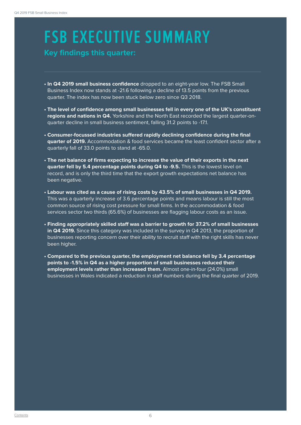# **FSB EXECUTIVE SUMMARY**

#### **SMALL BUSINES INDEX**<br> **Key findings this quarter:**<br> **SMALL BUSINESS**

- **In Q4 2019 small business confidence** dropped to an eight-year low. The FSB Small Business Index now stands at -21.6 following a decline of 13.5 points from the previous quarter. The index has now been stuck below zero since Q3 2018.
- **The level of confidence among small businesses fell in every one of the UK's constituent regions and nations in Q4.** Yorkshire and the North East recorded the largest quarter-onquarter decline in small business sentiment, falling 31.2 points to -17.1.
- **Consumer-focussed industries suffered rapidly declining confidence during the final quarter of 2019.** Accommodation & food services became the least confident sector after a quarterly fall of 33.0 points to stand at -65.0.
- **The net balance of firms expecting to increase the value of their exports in the next quarter fell by 5.4 percentage points during Q4 to -9.5.** This is the lowest level on record, and is only the third time that the export growth expectations net balance has been negative.
- **Labour was cited as a cause of rising costs by 43.5% of small businesses in Q4 2019.**  This was a quarterly increase of 3.6 percentage points and means labour is still the most common source of rising cost pressure for small firms. In the accommodation & food services sector two thirds (65.6%) of businesses are flagging labour costs as an issue.
- **Finding appropriately skilled staff was a barrier to growth for 37.2% of small businesses in Q4 2019.** Since this category was included in the survey in Q4 2013, the proportion of businesses reporting concern over their ability to recruit staff with the right skills has never been higher.
- **Compared to the previous quarter, the employment net balance fell by 3.4 percentage points to -1.5% in Q4 as a higher proportion of small businesses reduced their employment levels rather than increased them.** Almost one-in-four (24.0%) small businesses in Wales indicated a reduction in staff numbers during the final quarter of 2019.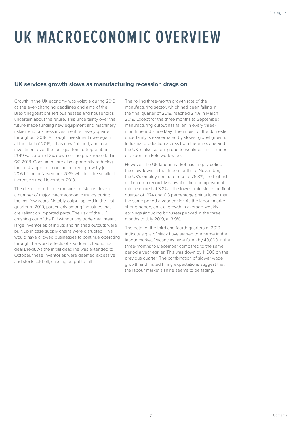# **UK MACROECONOMIC OVERVIEW**

#### **UK services growth slows as manufacturing recession drags on**

Growth in the UK economy was volatile during 2019 as the ever-changing deadlines and aims of the Brexit negotiations left businesses and households uncertain about the future. This uncertainty over the future made funding new equipment and machinery riskier, and business investment fell every quarter throughout 2018. Although investment rose again at the start of 2019, it has now flatlined, and total investment over the four quarters to September 2019 was around 2% down on the peak recorded in Q2 2018. Consumers are also apparently reducing their risk appetite - consumer credit grew by just £0.6 billion in November 2019, which is the smallest increase since November 2013.

The desire to reduce exposure to risk has driven a number of major macroeconomic trends during the last few years. Notably output spiked in the first quarter of 2019, particularly among industries that are reliant on imported parts. The risk of the UK crashing out of the EU without any trade deal meant large inventories of inputs and finished outputs were built up in case supply chains were disrupted. This would have allowed businesses to continue operating through the worst effects of a sudden, chaotic nodeal Brexit. As the initial deadline was extended to October, these inventories were deemed excessive and stock sold-off, causing output to fall.

The rolling three-month growth rate of the manufacturing sector, which had been falling in the final quarter of 2018, reached 2.4% in March 2019. Except for the three months to September, manufacturing output has fallen in every threemonth period since May. The impact of the domestic uncertainty is exacerbated by slower global growth. Industrial production across both the eurozone and the UK is also suffering due to weakness in a number of export markets worldwide.

However, the UK labour market has largely defied the slowdown. In the three months to November, the UK's employment rate rose to 76.3%, the highest estimate on record. Meanwhile, the unemployment rate remained at 3.8% – the lowest rate since the final quarter of 1974 and 0.3 percentage points lower than the same period a year earlier. As the labour market strengthened, annual growth in average weekly earnings (including bonuses) peaked in the three months to July 2019, at 3.9%.

The data for the third and fourth quarters of 2019 indicate signs of slack have started to emerge in the labour market. Vacancies have fallen by 49,000 in the three-months to December compared to the same period a year earlier. This was down by 11,000 on the previous quarter. The combination of slower wage growth and muted hiring expectations suggest that the labour market's shine seems to be fading.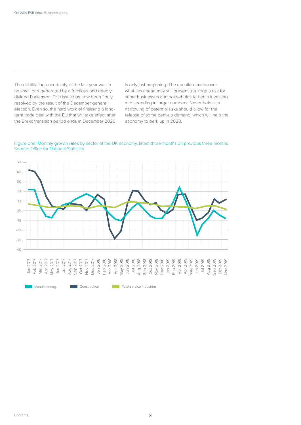The debilitating uncertainty of the last year was in no small part generated by a fractious and deeply divided Parliament. This issue has now been firmly resolved by the result of the December general election. Even so, the hard work of finalising a longterm trade deal with the EU that will take effect after the Brexit transition period ends in December 2020 is only just beginning. The question marks over what lies ahead may still present too large a risk for some businesses and households to begin investing and spending in larger numbers. Nevertheless, a narrowing of potential risks should allow for the release of some pent-up demand, which will help the economy to perk up in 2020.



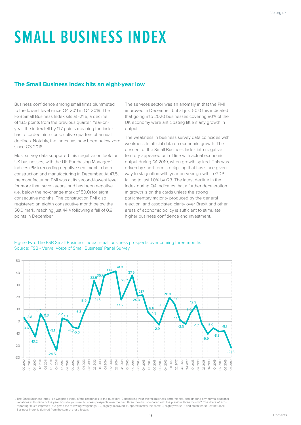# **SMALL BUSINESS INDEX**

#### **The Small Business Index hits an eight-year low**

Business confidence among small firms plummeted to the lowest level since Q4 2011 in Q4 2019. The FSB Small Business Index sits at -21.6, a decline of 13.5 points from the previous quarter. Year-onyear, the index fell by 11.7 points meaning the index has recorded nine consecutive quarters of annual declines. Notably, the index has now been below zero since Q3 2018.

Most survey data supported this negative outlook for UK businesses, with the UK Purchasing Managers' Indices (PMI) recording negative sentiment in both construction and manufacturing in December. At 47.5, the manufacturing PMI was at its second-lowest level for more than seven years, and has been negative (i.e. below the no-change mark of 50.0) for eight consecutive months. The construction PMI also registered an eighth consecutive month below the 50.0 mark, reaching just 44.4 following a fall of 0.9 points in December.

The services sector was an anomaly in that the PMI improved in December, but at just 50.0 this indicated that going into 2020 businesses covering 80% of the UK economy were anticipating little if any growth in output.

The weakness in business survey data coincides with weakness in official data on economic growth. The descent of the Small Business Index into negative territory appeared out of line with actual economic output during Q1 2019, when growth spiked. This was driven by short-term stockpiling that has since given way to stagnation with year-on-year growth in GDP falling to just 1.0% by Q3. The latest decline in the index during Q4 indicates that a further deceleration in growth is on the cards unless the strong parliamentary majority produced by the general election, and associated clarity over Brexit and other areas of economic policy is sufficient to stimulate higher business confidence and investment.





1. The Small Business Index is a weighted index of the responses to the question: 'Considering your overall business performance, and ignoring any normal seasonal variations at this time of the year, how do you view business prospects over the next three months, compared with the previous three months?' The share of firms reporting 'much improved' are given the following weightings: +2, slightly improved +1, approximately the same 0, slightly worse -1 and much worse -2; the Small Business Index is derived from the sum of these factors.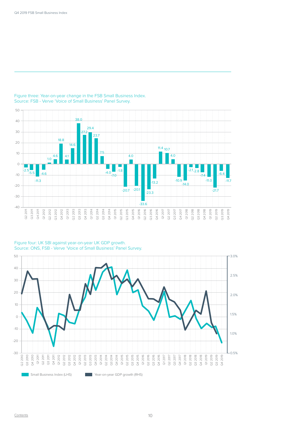

#### Figure three: Year-on-year change in the FSB Small Business Index. Source: FSB - Verve 'Voice of Small Business' Panel Survey.

#### Figure four: UK SBI against year-on-year UK GDP growth. Source: ONS, FSB - Verve 'Voice of Small Business' Panel Survey.

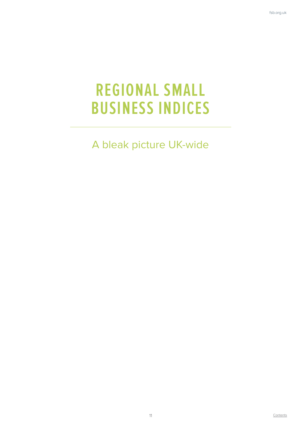#### **REGIONAL SMALL BUSINESS INDICES**

A bleak picture UK-wide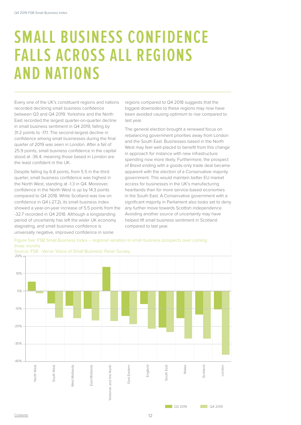### **SMALL BUSINESS CONFIDENCE FALLS ACROSS ALL REGIONS AND NATIONS**

Every one of the UK's constituent regions and nations recorded declining small business confidence between Q3 and Q4 2019. Yorkshire and the North East recorded the largest quarter-on-quarter decline in small business sentiment in Q4 2019, falling by 31.2 points to -17.1. The second-largest decline in confidence among small businesses during the final quarter of 2019 was seen in London. After a fall of 25.9 points, small business confidence in the capital stood at -36.4, meaning those based in London are the least confident in the UK.

Despite falling by 6.8 points, from 5.5 in the third quarter, small business confidence was highest in the North West, standing at -1.3 in Q4. Moreover, confidence in the North West is up by 14.3 points compared to Q4 2018. While Scotland was low on confidence in Q4 (-27.2), its small business index showed a year-on-year increase of 5.5 points from the -32.7 recorded in Q4 2018. Although a longstanding period of uncertainty has left the wider UK economy stagnating, and small business confidence is universally negative, improved confidence in some

regions compared to Q4 2018 suggests that the biggest downsides to these regions may now have been avoided causing optimism to rise compared to last year.

The general election brought a renewed focus on rebalancing government priorities away from London and the South East. Businesses based in the North West may feel well-placed to benefit from this change in approach for instance with new infrastructure spending now more likely. Furthermore, the prospect of Brexit ending with a goods-only trade deal became apparent with the election of a Conservative majority government. This would maintain better EU market access for businesses in the UK's manufacturing heartlands than for more service-based economies in the South East. A Conservative government with a significant majority in Parliament also looks set to deny any further move towards Scottish independence. Avoiding another source of uncertainty may have helped lift small business sentiment in Scotland compared to last year.



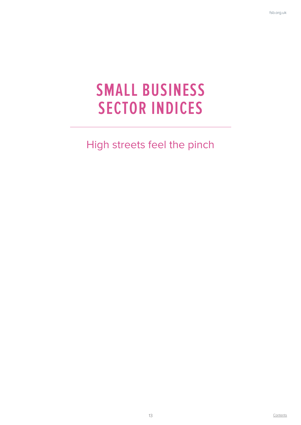#### **SMALL BUSINESS SECTOR INDICES**

High streets feel the pinch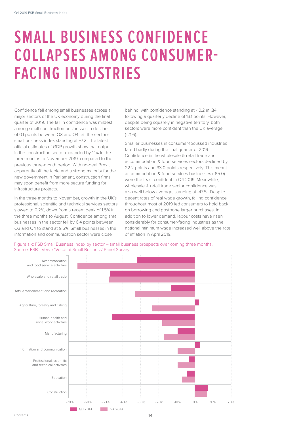### **SMALL BUSINESS CONFIDENCE COLLAPSES AMONG CONSUMER-FACING INDUSTRIES**

Confidence fell among small businesses across all major sectors of the UK economy during the final quarter of 2019. The fall in confidence was mildest among small construction businesses, a decline of 0.1 points between Q3 and Q4 left the sector's small business index standing at +7.2. The latest official estimates of GDP growth show that output in the construction sector expanded by 1.1% in the three months to November 2019, compared to the previous three-month period. With no-deal Brexit apparently off the table and a strong majority for the new government in Parliament, construction firms may soon benefit from more secure funding for infrastructure projects.

In the three months to November, growth in the UK's professional, scientific and technical services sectors slowed to 0.2%, down from a recent peak of 1.5% in the three months to August. Confidence among small businesses in the sector fell by 6.4 points between Q3 and Q4 to stand at 9.6%. Small businesses in the information and communication sector were close

behind, with confidence standing at -10.2 in Q4 following a quarterly decline of 13.1 points. However, despite being squarely in negative territory, both sectors were more confident than the UK average (-21.6).

Smaller businesses in consumer-focussed industries fared badly during the final quarter of 2019. Confidence in the wholesale & retail trade and accommodation & food services sectors declined by 22.2 points and 33.0 points respectively. This meant accommodation & food services businesses (-65.0) were the least confident in Q4 2019. Meanwhile, wholesale & retail trade sector confidence was also well below average, standing at -47.5. Despite decent rates of real wage growth, falling confidence throughout most of 2019 led consumers to hold back on borrowing and postpone larger purchases. In addition to lower demand, labour costs have risen considerably for consumer-facing industries as the national minimum wage increased well above the rate of inflation in April 2019.

Figure six: FSB Small Business Index by sector – small business prospects over coming three months. Source: FSB - Verve 'Voice of Small Business' Panel Survey.

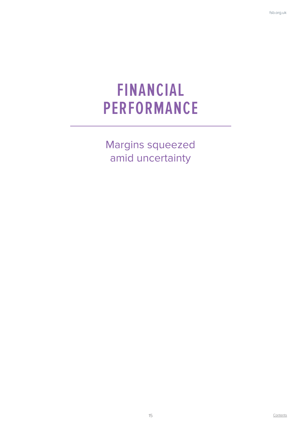### **FINANCIAL PERFORMANCE**

Margins squeezed amid uncertainty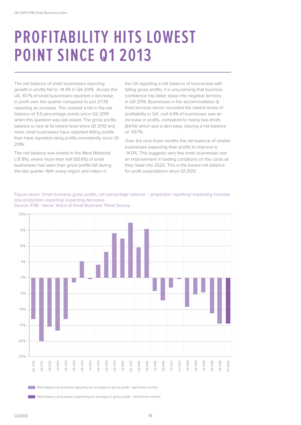## **PROFITABILITY HITS LOWEST POINT SINCE Q1 2013**

The net balance of small businesses reporting growth in profits fell to -14.4% in Q4 2019. Across the UK, 41.7% of small businesses reported a decrease in profit over the quarter compared to just 27.3% reporting an increase. This marked a fall in the net balance of 3.0 percentage points since Q2 2019 when this question was last asked. The gross profits balance is now at its lowest level since Q1 2013 and more small businesses have reported falling profits than have reported rising profits consistently since Q1 2016.

The net balance was lowest in the West Midlands (-31.9%), where more than half (50.6%) of small businesses had seen their gross profits fall during the last quarter. With every region and nation in

the UK reporting a net balance of businesses with falling gross profits, it is unsurprising that business confidence has fallen deep into negative territory in Q4 2019. Businesses in the accommodation & food services sector recorded the lowest levels of profitability in Q4. Just 4.4% of businesses saw an increase in profits, compared to nearly two-thirds (64.1%) which saw a decrease, leaving a net balance of -59.7%.

Over the next three months the net balance of smaller businesses expecting their profits to improve is -14.0%. This suggests very few small businesses see an improvement in trading conditions on the cards as they head into 2020. This is the lowest net balance for profit expectations since Q1 2013.

Figure seven: Small business gross profits, net percentage balance – proportion reporting/ expecting increase less proportion reporting/ expecting decrease.





**Net balance of business reporting an increase in gross profit - last three months** 

**Net balance of business expecting an increase in gross profit - next three months**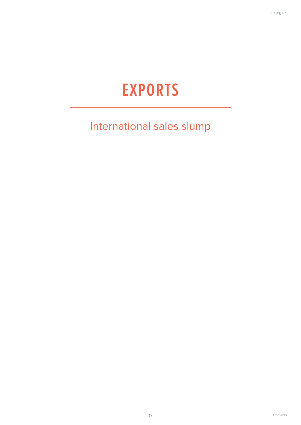### **EXPORTS**

#### International sales slump

**Contents**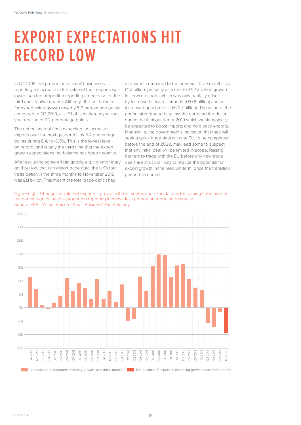## **EXPORT EXPECTATIONS HIT RECORD LOW**

In Q4 2019, the proportion of small businesses reporting an increase in the value of their exports was lower than the proportion reporting a decrease for the third consecutive quarter. Although the net balance for export value growth rose by 5.5 percentage points compared to Q3 2019, at -1.6% this marked a year-onyear decline of 9.2 percentage points.

The net balance of firms expecting an increase in exports over the next quarter fell by 5.4 percentage points during Q4, to -9.5%. This is the lowest level on record, and is only the third time that the export growth expectations net balance has been negative.

After excluding some erratic goods, e.g. non-monetary gold bullion, that can distort trade data, the UK's total trade deficit in the three months to November 2019 was £1.1 billion. This meant the total trade deficit had

narrowed, compared to the previous three months, by £1.0 billion, primarily as a result of £2.3 billion growth in service exports which was only partially offset by increased services imports (+£0.6 billion) and an increased goods deficit (+£0.7 billion). The value of the pound strengthened against the euro and the dollar during the final quarter of 2019 which would typically be expected to boost imports and hold back exports. Meanwhile, the government's indication that they will seek a quick trade deal with the EU, to be completed before the end of 2020, may lead some to suspect that any initial deal will be limited in scope. Raising barriers to trade with the EU before any new trade deals are struck is likely to reduce the potential for export growth in the medium-term, once the transition period has ended.



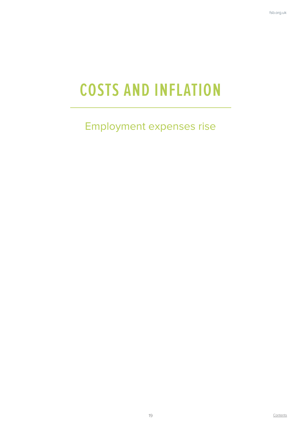# **COSTS AND INFLATION**

#### Employment expenses rise

**Contents**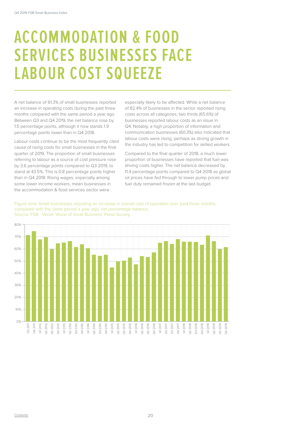### **ACCOMMODATION & FOOD SERVICES BUSINESSES FACE LABOUR COST SQUEEZE**

A net balance of 61.3% of small businesses reported an increase in operating costs during the past three months compared with the same period a year ago. Between Q3 and Q4 2019, the net balance rose by 1.5 percentage points, although it now stands 1.9 percentage points lower than in Q4 2018.

Labour costs continue to be the most frequently cited cause of rising costs for small businesses in the final quarter of 2019. The proportion of small businesses referring to labour as a source of cost pressure rose by 3.6 percentage points compared to Q3 2019, to stand at 43.5%. This is 0.8 percentage points higher than in Q4 2018. Rising wages, especially among some lower income workers, mean businesses in the accommodation & food services sector were

especially likely to be affected. While a net balance of 82.4% of businesses in the sector reported rising costs across all categories, two thirds (65.6%) of businesses reported labour costs as an issue in Q4. Notably, a high proportion of information and communication businesses (60.3%) also indicated that labour costs were rising, perhaps as strong growth in the industry has led to competition for skilled workers.

Compared to the final quarter of 2018, a much lower proportion of businesses have reported that fuel was driving costs higher. The net balance decreased by 11.4 percentage points compared to Q4 2018 as global oil prices have fed through to lower pump prices and fuel duty remained frozen at the last budget.

Figure nine: Small businesses reporting an increase in overall cost of operation over past three months, compared with the same period a year ago; net percentage balance. Source: FSB - Verve 'Voice of Small Business' Panel Survey.

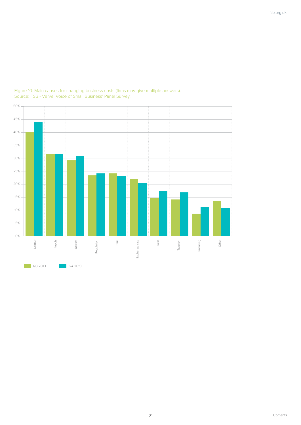

#### Figure 10: Main causes for changing business costs (firms may give multiple answers). Source: FSB - Verve 'Voice of Small Business' Panel Survey.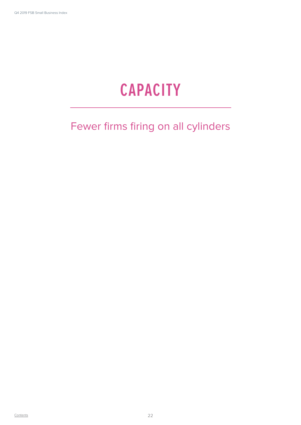# **CAPACITY**

#### Fewer firms firing on all cylinders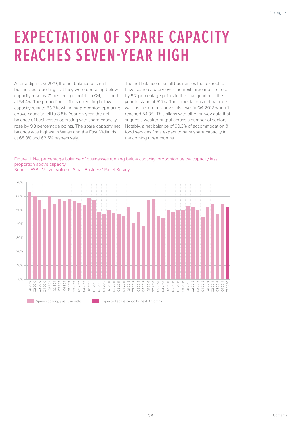### **EXPECTATION OF SPARE CAPACITY REACHES SEVEN-YEAR HIGH**

After a dip in Q3 2019, the net balance of small businesses reporting that they were operating below capacity rose by 7.1 percentage points in Q4, to stand at 54.4%. The proportion of firms operating below capacity rose to 63.2%, while the proportion operating above capacity fell to 8.8%. Year-on-year, the net balance of businesses operating with spare capacity rose by 9.3 percentage points. The spare capacity net balance was highest in Wales and the East Midlands, at 68.8% and 62.5% respectively.

The net balance of small businesses that expect to have spare capacity over the next three months rose by 9.2 percentage points in the final quarter of the year to stand at 51.7%. The expectations net balance was last recorded above this level in Q4 2012 when it reached 54.3%. This aligns with other survey data that suggests weaker output across a number of sectors. Notably, a net balance of 90.3% of accommodation & food services firms expect to have spare capacity in the coming three months.



Figure 11: Net percentage balance of businesses running below capacity: proportion below capacity less proportion above capacity.

Source: FSB - Verve 'Voice of Small Business' Panel Survey.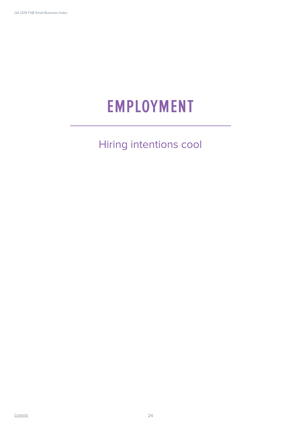## **EMPLOYMENT**

Hiring intentions cool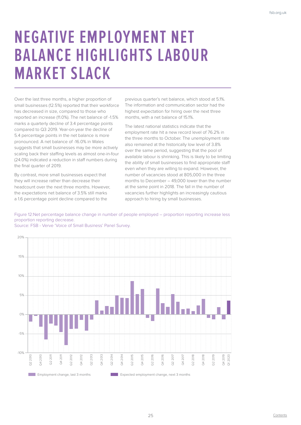### **NEGATIVE EMPLOYMENT NET BALANCE HIGHLIGHTS LABOUR MARKET SLACK**

Over the last three months, a higher proportion of small businesses (12.5%) reported that their workforce has decreased in size, compared to those who reported an increase (11.0%). The net balance of -1.5% marks a quarterly decline of 3.4 percentage points compared to Q3 2019. Year-on-year the decline of 5.4 percentage points in the net balance is more pronounced. A net balance of -16.0% in Wales suggests that small businesses may be more actively scaling back their staffing levels as almost one-in-four (24.0%) indicated a reduction in staff numbers during the final quarter of 2019.

By contrast, more small businesses expect that they will increase rather than decrease their headcount over the next three months. However, the expectations net balance of 3.5% still marks a 1.6 percentage point decline compared to the

previous quarter's net balance, which stood at 5.1%. The information and communication sector had the highest expectation for hiring over the next three months, with a net balance of 15.1%

The latest national statistics indicate that the employment rate hit a new record level of 76.2% in the three months to October. The unemployment rate also remained at the historically low level of 3.8% over the same period, suggesting that the pool of available labour is shrinking. This is likely to be limiting the ability of small businesses to find appropriate staff even when they are willing to expand. However, the number of vacancies stood at 805,000 in the three months to December – 49,000 lower than the number at the same point in 2018. The fall in the number of vacancies further highlights an increasingly cautious approach to hiring by small businesses.

Figure 12:Net percentage balance change in number of people employed – proportion reporting increase less proportion reporting decrease.



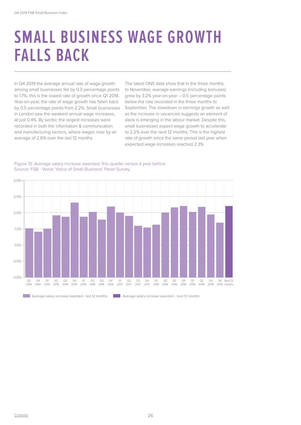## **SMALL BUSINESS WAGE GROWTH FALLS BACK**

In Q4 2019 the average annual rate of wage growth among small businesses fell by 0.3 percentage points to 1.7%, this is the lowest rate of growth since Q1 2018. Year-on-year, the rate of wage growth has fallen back by 0.5 percentage points from 2.2%. Small businesses in London saw the weakest annual wage increases, at just 0.4%. By sector, the largest increases were recorded in both the information & communication and manufacturing sectors, where wages rose by an average of 2.6% over the last 12 months.

The latest ONS data show that in the three months to November, average earnings (including bonuses) grew by 3.2% year-on-year – 0.5 percentage points below the rate recorded in the three months to September. The slowdown in earnings growth as well as the increase in vacancies suggests an element of slack is emerging in the labour market. Despite this, small businesses expect wage growth to accelerate to 2.2% over the next 12 months. This is the highest rate of growth since the same period last year when expected wage increases reached 2.3%.

Figure 13: Average salary increase awarded, this quarter versus a year before. Source: FSB - Verve 'Voice of Small Business' Panel Survey.

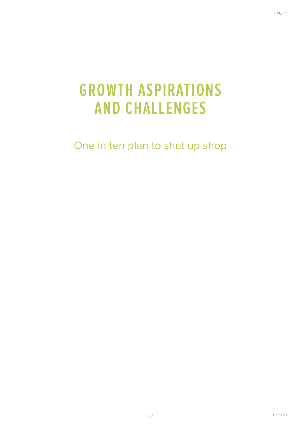### **GROWTH ASPIRATIONS AND CHALLENGES**

One in ten plan to shut up shop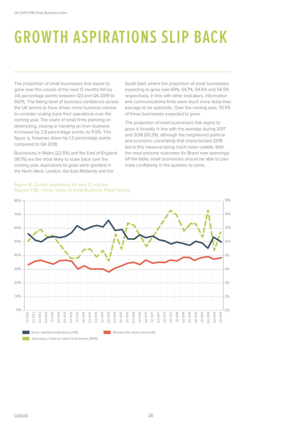# **GROWTH ASPIRATIONS SLIP BACK**

The proportion of small businesses that aspire to grow over the course of the next 12 months fell by 3.6 percentage points between Q3 and Q4 2019 to 50.1%. The falling level of business confidence across the UK seems to have driven more business owners to consider scaling back their operations over the coming year. The share of small firms planning on downsizing, closing or handing on their business increased by 2.8 percentage points, to 11.5%. This figure is, however, down by 1.3 percentage points compared to Q4 2018.

Businesses in Wales (22.5%) and the East of England (18.7%) are the most likely to scale back over the coming year. Aspirations to grow were greatest in the North West, London, the East Midlands and the

South East, where the proportion of small businesses expecting to grow was 60%, 54.7%, 54.6% and 54.5% respectively. In line with other indicators, information and communications firms were much more likely than average to be optimistic. Over the coming year, 70.5% of these businesses expected to grow.

The proportion of small businesses that aspire to grow is broadly in line with the average during 2017 and 2018 (50.3%), although the heightened political and economic uncertainty that characterised 2019 led to this measure being much more volatile. With the most extreme outcomes for Brexit now seemingly off the table, small businesses should be able to plan more confidently in the quarters to come.

![](_page_27_Figure_6.jpeg)

#### Figure 14: Growth aspirations for next 12 months. Source: FSB - Verve 'Voice of Small Business' Panel Survey.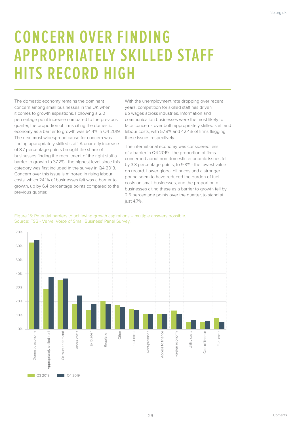## **CONCERN OVER FINDING APPROPRIATELY SKILLED STAFF HITS RECORD HIGH**

The domestic economy remains the dominant concern among small businesses in the UK when it comes to growth aspirations. Following a 2.0 percentage point increase compared to the previous quarter, the proportion of firms citing the domestic economy as a barrier to growth was 64.4% in Q4 2019. The next most widespread cause for concern was finding appropriately skilled staff. A quarterly increase of 8.7 percentage points brought the share of businesses finding the recruitment of the right staff a barrier to growth to 37.2% - the highest level since this category was first included in the survey in Q4 2013. Concern over this issue is mirrored in rising labour costs, which 24.1% of businesses felt was a barrier to growth, up by 6.4 percentage points compared to the previous quarter.

With the unemployment rate dropping over recent years, competition for skilled staff has driven up wages across industries. Information and communication businesses were the most likely to face concerns over both appropriately skilled staff and labour costs, with 57.8% and 42.4% of firms flagging these issues respectively.

The international economy was considered less of a barrier in Q4 2019 - the proportion of firms concerned about non-domestic economic issues fell by 3.3 percentage points, to 9.8% - the lowest value on record. Lower global oil prices and a stronger pound seem to have reduced the burden of fuel costs on small businesses, and the proportion of businesses citing these as a barrier to growth fell by 2.6 percentage points over the quarter, to stand at just 4.7%.

Figure 15: Potential barriers to achieving growth aspirations – multiple answers possible. Source: FSB - Verve 'Voice of Small Business' Panel Survey.

![](_page_28_Figure_6.jpeg)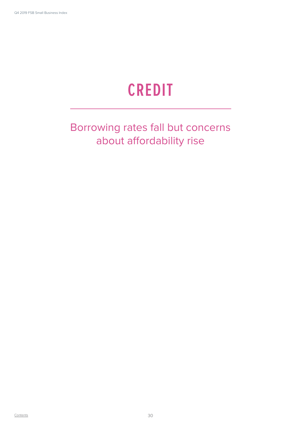# **CREDIT**

#### Borrowing rates fall but concerns about affordability rise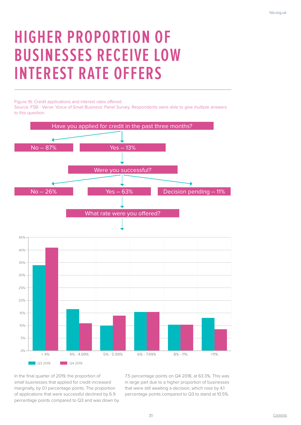## **HIGHER PROPORTION OF BUSINESSES RECEIVE LOW INTEREST RATE OFFERS**

Figure 16: Credit applications and interest rates offered.

Source: FSB - Verve 'Voice of Small Business' Panel Survey. Respondents were able to give multiple answers to this question.

![](_page_30_Figure_4.jpeg)

In the final quarter of 2019, the proportion of small businesses that applied for credit increased marginally, by 0.1 percentage points. The proportion of applications that were successful declined by 6.9 percentage points compared to Q3 and was down by

7.5 percentage points on Q4 2018, at 63.3%. This was in large part due to a higher proportion of businesses that were still awaiting a decision, which rose by 4.1 percentage points compared to Q3 to stand at 10.5%.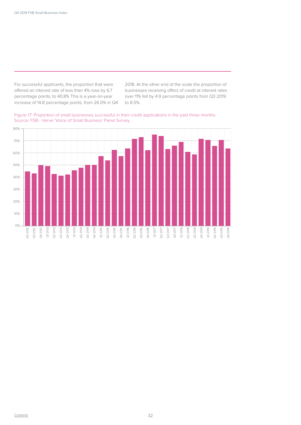For successful applicants, the proportion that were offered an interest rate of less than 4% rose by 6.7 percentage points, to 40.8% This is a year-on-year increase of 14.8 percentage points, from 26.0% in Q4

2018. At the other end of the scale the proportion of businesses receiving offers of credit at interest rates over 11% fell by 4.9 percentage points from Q3 2019 to 8.5%.

Figure 17: Proportion of small businesses successful in their credit applications in the past three months. Source: FSB - Verve 'Voice of Small Business' Panel Survey.

![](_page_31_Figure_4.jpeg)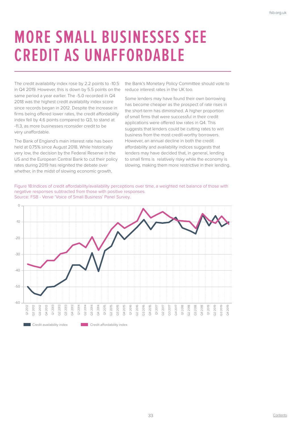## **MORE SMALL BUSINESSES SEE CREDIT AS UNAFFORDABLE**

The credit availability index rose by 2.2 points to -10.5 in Q4 2019. However, this is down by 5.5 points on the same period a year earlier. The -5.0 recorded in Q4 2018 was the highest credit availability index score since records began in 2012. Despite the increase in firms being offered lower rates, the credit affordability index fell by 4.6 points compared to Q3, to stand at -11.3, as more businesses rconsider credit to be very unaffordable.

The Bank of England's main interest rate has been held at 0.75% since August 2018. While historically very low, the decision by the Federal Reserve in the US and the European Central Bank to cut their policy rates during 2019 has reignited the debate over whether, in the midst of slowing economic growth,

the Bank's Monetary Policy Committee should vote to reduce interest rates in the UK too.

Some lenders may have found their own borrowing has become cheaper as the prospect of rate rises in the short-term has diminished. A higher proportion of small firms that were successful in their credit applications were offered low rates in Q4. This suggests that lenders could be cutting rates to win business from the most credit-worthy borrowers. However, an annual decline in both the credit affordability and availability indices suggests that lenders may have decided that, in general, lending to small firms is relatively risky while the economy is slowing, making them more restrictive in their lending.

Figure 18:Indices of credit affordability/availability perceptions over time, a weighted net balance of those with negative responses subtracted from those with positive responses. Source: FSB - Verve 'Voice of Small Business' Panel Survey.

![](_page_32_Figure_7.jpeg)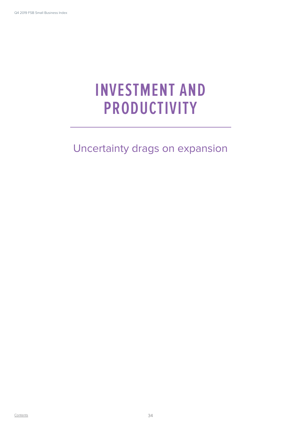## **INVESTMENT AND PRODUCTIVITY**

Uncertainty drags on expansion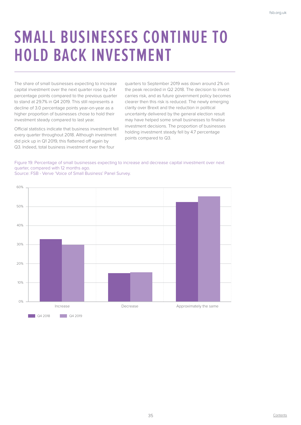## **SMALL BUSINESSES CONTINUE TO HOLD BACK INVESTMENT**

The share of small businesses expecting to increase capital investment over the next quarter rose by 3.4 percentage points compared to the previous quarter to stand at 29.7% in Q4 2019. This still represents a decline of 3.0 percentage points year-on-year as a higher proportion of businesses chose to hold their investment steady compared to last year.

Official statistics indicate that business investment fell every quarter throughout 2018. Although investment did pick up in Q1 2019, this flattened off again by Q3. Indeed, total business investment over the four

quarters to September 2019 was down around 2% on the peak recorded in Q2 2018. The decision to invest carries risk, and as future government policy becomes clearer then this risk is reduced. The newly emerging clarity over Brexit and the reduction in political uncertainty delivered by the general election result may have helped some small businesses to finalise investment decisions. The proportion of businesses holding investment steady fell by 4.7 percentage points compared to Q3.

Figure 19: Percentage of small businesses expecting to increase and decrease capital investment over next quarter, compared with 12 months ago.

![](_page_34_Figure_6.jpeg)

Source: FSB - Verve 'Voice of Small Business' Panel Survey.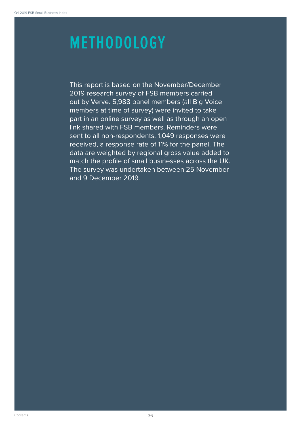#### **FSB VOICE OF A RETH SMALL BUSINESS INDEX**<br> **SMALL BUSINESS INDEX**

This report is based on the November/December 2019 research survey of FSB members carried out by Verve. 5,988 panel members (all Big Voice members at time of survey) were invited to take part in an online survey as well as through an open link shared with FSB members. Reminders were sent to all non-respondents. 1,049 responses were received, a response rate of 11% for the panel. The data are weighted by regional gross value added to match the profile of small businesses across the UK. The survey was undertaken between 25 November and 9 December 2019.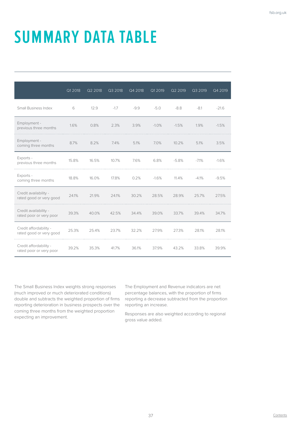# **SUMMARY DATA TABLE**

|                                                   | Q1 2018 | Q2 2018 | Q3 2018 | Q4 2018 | Q1 2019 | Q2 2019 | Q3 2019 | Q4 2019 |
|---------------------------------------------------|---------|---------|---------|---------|---------|---------|---------|---------|
| Small Business Index                              | 6       | 12.9    | $-1.7$  | $-9.9$  | $-5.0$  | $-8.8$  | $-8.1$  | $-21.6$ |
| Employment -<br>previous three months             | 1.6%    | 0.8%    | 2.3%    | 3.9%    | $-1.0%$ | $-1.5%$ | 1.9%    | $-1.5%$ |
| Employment -<br>coming three months               | 8.7%    | 8.2%    | 7.4%    | 5.1%    | 7.0%    | 10.2%   | 5.1%    | 3.5%    |
| Exports -<br>previous three months                | 15.8%   | 16.5%   | 10.7%   | 7.6%    | 6.8%    | $-5.8%$ | $-7.1%$ | $-1.6%$ |
| Exports -<br>coming three months                  | 18.8%   | 16.0%   | 17.8%   | 0.2%    | $-1.6%$ | 11.4%   | $-4.1%$ | $-9.5%$ |
| Credit availability -<br>rated good or very good  | 24.1%   | 21.9%   | 24.1%   | 30.2%   | 28.5%   | 28.9%   | 25.7%   | 27.5%   |
| Credit availability -<br>rated poor or very poor  | 39.3%   | 40.0%   | 42.5%   | 34.4%   | 39.0%   | 33.7%   | 39.4%   | 34.7%   |
| Credit affordability -<br>rated good or very good | 25.3%   | 25.4%   | 23.7%   | 32.2%   | 27.9%   | 27.3%   | 28.1%   | 28.1%   |
| Credit affordability -<br>rated poor or very poor | 39.2%   | 35.3%   | 41.7%   | 36.1%   | 37.9%   | 43.2%   | 33.8%   | 39.9%   |

The Small Business Index weights strong responses (much improved or much deteriorated conditions) double and subtracts the weighted proportion of firms reporting deterioration in business prospects over the coming three months from the weighted proportion expecting an improvement.

The Employment and Revenue indicators are net percentage balances, with the proportion of firms reporting a decrease subtracted from the proportion reporting an increase.

Responses are also weighted according to regional gross value added.